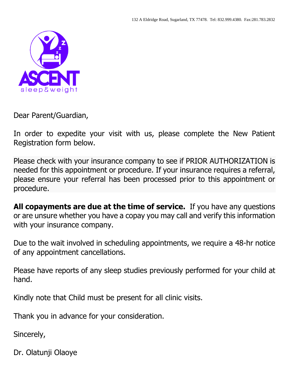

Dear Parent/Guardian,

In order to expedite your visit with us, please complete the New Patient Registration form below.

Please check with your insurance company to see if PRIOR AUTHORIZATION is needed for this appointment or procedure. If your insurance requires a referral, please ensure your referral has been processed prior to this appointment or procedure.

**All copayments are due at the time of service.** If you have any questions or are unsure whether you have a copay you may call and verify this information with your insurance company.

Due to the wait involved in scheduling appointments, we require a 48-hr notice of any appointment cancellations.

Please have reports of any sleep studies previously performed for your child at hand.

Kindly note that Child must be present for all clinic visits.

Thank you in advance for your consideration.

Sincerely,

Dr. Olatunji Olaoye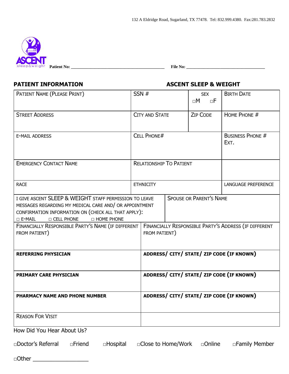

**Patient No: \_\_\_\_\_\_\_\_\_\_\_\_\_\_\_\_\_\_\_\_\_\_\_\_\_\_\_\_\_\_\_\_\_\_\_\_\_\_\_\_\_\_\_\_ File No: \_\_\_\_\_\_\_\_\_\_\_\_\_\_\_\_\_\_\_\_\_\_\_\_\_\_\_\_\_\_\_\_\_\_\_\_\_** 

# **PATIENT INFORMATION ASCENT SLEEP & WEIGHT**

| PATIENT NAME (PLEASE PRINT)                                                                                                                                                                                                                                                                                   | SSN#                           |  | <b>SEX</b><br>$\sqcap M$<br>$\neg F$ | <b>BIRTH DATE</b>                                     |
|---------------------------------------------------------------------------------------------------------------------------------------------------------------------------------------------------------------------------------------------------------------------------------------------------------------|--------------------------------|--|--------------------------------------|-------------------------------------------------------|
| <b>STREET ADDRESS</b>                                                                                                                                                                                                                                                                                         | <b>CITY AND STATE</b>          |  | <b>ZIP CODE</b>                      | HOME PHONE #                                          |
| <b>E-MAIL ADDRESS</b>                                                                                                                                                                                                                                                                                         | <b>CELL PHONE#</b>             |  |                                      | <b>BUSINESS PHONE #</b><br>EXT.                       |
| <b>EMERGENCY CONTACT NAME</b>                                                                                                                                                                                                                                                                                 | <b>RELATIONSHIP TO PATIENT</b> |  |                                      |                                                       |
| <b>RACE</b>                                                                                                                                                                                                                                                                                                   | <b>ETHNICITY</b>               |  |                                      | LANGUAGE PREFERENCE                                   |
| I GIVE ASCENT SLEEP & WEIGHT STAFF PERMISSION TO LEAVE<br>MESSAGES REGARDING MY MEDICAL CARE AND/ OR APPOINTMENT<br>CONFIRMATION INFORMATION ON (CHECK ALL THAT APPLY):<br><b>D CELL PHONE</b><br>$\Box$ E-MAIL<br><b>D HOME PHONE</b><br>FINANCIALLY RESPONSIBLE PARTY'S NAME (IF DIFFERENT<br>FROM PATIENT) | FROM PATIENT)                  |  | <b>SPOUSE OR PARENT'S NAME</b>       | FINANCIALLY RESPONSIBLE PARTY'S ADDRESS (IF DIFFERENT |
| <b>REFERRING PHYSICIAN</b>                                                                                                                                                                                                                                                                                    |                                |  |                                      | ADDRESS/ CITY/ STATE/ ZIP CODE (IF KNOWN)             |
| <b>PRIMARY CARE PHYSICIAN</b>                                                                                                                                                                                                                                                                                 |                                |  |                                      | ADDRESS/ CITY/ STATE/ ZIP CODE (IF KNOWN)             |
| PHARMACY NAME AND PHONE NUMBER                                                                                                                                                                                                                                                                                |                                |  |                                      | ADDRESS/ CITY/ STATE/ ZIP CODE (IF KNOWN)             |
| <b>REASON FOR VISIT</b>                                                                                                                                                                                                                                                                                       |                                |  |                                      |                                                       |
| How Did You Hear About Us?                                                                                                                                                                                                                                                                                    |                                |  |                                      |                                                       |

□Doctor's Referral □Friend □Hospital □Close to Home/Work □Online □Family Member

□Other \_\_\_\_\_\_\_\_\_\_\_\_\_\_\_\_\_\_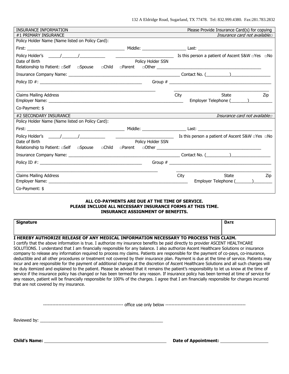| INSURANCE INFORMATION                                                             |                   | Please Provide Insurance Card(s) for copying                                                                                                                                                                                                                                                                          |
|-----------------------------------------------------------------------------------|-------------------|-----------------------------------------------------------------------------------------------------------------------------------------------------------------------------------------------------------------------------------------------------------------------------------------------------------------------|
| #1 PRIMARY INSURANCE                                                              |                   | Insurance card not available                                                                                                                                                                                                                                                                                          |
| Policy Holder Name (Name listed on Policy Card):                                  |                   |                                                                                                                                                                                                                                                                                                                       |
|                                                                                   |                   | Middle: Last: Last: Last: Last: Last: Last: Last: Last: Last: Last: Last: Last: Last: Last: Last: Last: Last: Last: Last: Last: Last: Last: Last: Last: Last: Last: Last: Last: Last: Last: Last: Last: Last: Last: Last: Last                                                                                        |
|                                                                                   |                   |                                                                                                                                                                                                                                                                                                                       |
| Date of Birth                                                                     | Policy Holder SSN |                                                                                                                                                                                                                                                                                                                       |
| Relationship to Patient: aSelf aspouse aChild aParent                             |                   |                                                                                                                                                                                                                                                                                                                       |
|                                                                                   |                   |                                                                                                                                                                                                                                                                                                                       |
|                                                                                   |                   |                                                                                                                                                                                                                                                                                                                       |
|                                                                                   |                   |                                                                                                                                                                                                                                                                                                                       |
| <b>Claims Mailing Address</b>                                                     |                   | City<br>State<br>Zip                                                                                                                                                                                                                                                                                                  |
|                                                                                   |                   |                                                                                                                                                                                                                                                                                                                       |
| Co-Payment: \$                                                                    |                   |                                                                                                                                                                                                                                                                                                                       |
| #2 SECONDARY INSURANCE                                                            |                   | Insurance card not available                                                                                                                                                                                                                                                                                          |
| Policy Holder Name (Name listed on Policy Card):                                  |                   |                                                                                                                                                                                                                                                                                                                       |
|                                                                                   |                   | Middle: Last: Last: Last: Last: Last: Last: Last: Last: Last: Last: Last: Last: Last: Last: Last: Last: Last: Last: Last: Last: Last: Last: Last: Last: Last: Last: Last: Last: Last: Last: Last: Last: Last: Last: Last: Last                                                                                        |
| Policy Holder's $\frac{1}{2}$                                                     |                   | $\overline{\phantom{a}}$ Is this person a patient of Ascent S&W $\Box$ Yes $\Box$ No                                                                                                                                                                                                                                  |
| Date of Birth                                                                     | Policy Holder SSN |                                                                                                                                                                                                                                                                                                                       |
| Relationship to Patient: □Self □Spouse □Child □Parent □Other ____________________ |                   |                                                                                                                                                                                                                                                                                                                       |
|                                                                                   |                   |                                                                                                                                                                                                                                                                                                                       |
| Policy ID $\#$ :                                                                  |                   | Group # $\frac{1}{2}$ $\frac{1}{2}$ $\frac{1}{2}$ $\frac{1}{2}$ $\frac{1}{2}$ $\frac{1}{2}$ $\frac{1}{2}$ $\frac{1}{2}$ $\frac{1}{2}$ $\frac{1}{2}$ $\frac{1}{2}$ $\frac{1}{2}$ $\frac{1}{2}$ $\frac{1}{2}$ $\frac{1}{2}$ $\frac{1}{2}$ $\frac{1}{2}$ $\frac{1}{2}$ $\frac{1}{2}$ $\frac{1}{2}$ $\frac{1}{2}$ $\frac$ |
|                                                                                   |                   |                                                                                                                                                                                                                                                                                                                       |
| <b>Claims Mailing Address</b>                                                     |                   | City<br>State<br>Zip                                                                                                                                                                                                                                                                                                  |
|                                                                                   |                   |                                                                                                                                                                                                                                                                                                                       |
| Co-Payment: \$                                                                    |                   |                                                                                                                                                                                                                                                                                                                       |

### **ALL CO-PAYMENTS ARE DUE AT THE TIME OF SERVICE. PLEASE INCLUDE ALL NECESSARY INSURANCE FORMS AT THIS TIME. INSURANCE ASSIGNMENT OF BENEFITS.**

| Cianation<br>Signature | <b>DATE</b> |
|------------------------|-------------|
|                        |             |

### **I HEREBY AUTHORIZE RELEASE OF ANY MEDICAL INFORMATION NECESSARY TO PROCESS THIS CLAIM.**

I certify that the above information is true. I authorize my insurance benefits be paid directly to provider ASCENT HEALTHCARE SOLUTIONS. I understand that I am financially responsible for any balance. I also authorize Ascent Healthcare Solutions or insurance company to release any information required to process my claims. Patients are responsible for the payment of co-pays, co-insurance, deductible and all other procedures or treatment not covered by their insurance plan. Payment is due at the time of service. Patients may incur and are responsible for the payment of additional charges at the discretion of Ascent Healthcare Solutions and all such charges will be duly itemized and explained to the patient. Please be advised that it remains the patient's responsibility to let us know at the time of service if the insurance policy has changed or has been termed for any reason. If insurance policy has been termed at time of service for any reason, patient will be financially responsible for 100% of the charges. I agree that I am financially responsible for charges incurred that are not covered by my insurance.

|  | only<br><b>USP</b> |  |  |
|--|--------------------|--|--|
|--|--------------------|--|--|

Reviewed by:

**Child's Name:** <u>Child's Name:</u> 2008. [2018] **Date of Appointment:** 2018. [2018] **Date of Appointment:** 2018. [2018] **Date of Appointment:** 2018. [2018] **Date of Appointment:** 2018. [2018] **Date of Appointment:** 2018. [201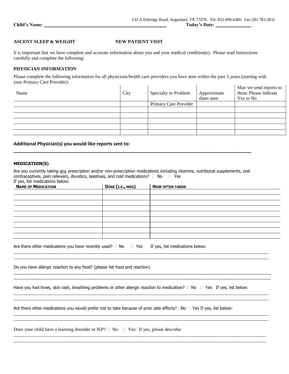$\mathbf{r}$ 

## **ASCENT SLEEP & WEIGHT NEW PATIENT VISIT**

It is important that we have complete and accurate information about you and your medical condition(s). Please read instructions carefully and complete the following:

### **PHYSICIAN INFORMATION**

Please complete the following information for all physicians/health care providers you have seen within the past 5 years (starting with your Primary Care Provider):  $\mathbf{L}$  and  $\mathbf{L}$  and  $\mathbf{L}$  $\mathbf{r}$  $\mathbf{L}^{\mathbf{L}}$  $\mathbf{r}$ 

| Name | City | Specialty or Problem  | Approximate<br>dates seen | May we send reports to<br>them. Please indicate<br>Yes or No |
|------|------|-----------------------|---------------------------|--------------------------------------------------------------|
|      |      | Primary Care Provider |                           |                                                              |
|      |      |                       |                           |                                                              |
|      |      |                       |                           |                                                              |
|      |      |                       |                           |                                                              |
|      |      |                       |                           |                                                              |
|      |      |                       |                           |                                                              |

## **Additional Physician(s) you would like reports sent to:**

### **MEDICATION(S)**

Are you currently taking any prescription and/or non-prescription medications including vitamins, nutritional supplements, oral contraceptives, pain relievers, diuretics, laxatives, and cold medications?  $\Box$  No  $\Box$  Yes If yes, list medications below:

**\_\_\_\_\_\_\_\_\_\_\_\_\_\_\_\_\_\_\_\_\_\_\_\_\_\_\_\_\_\_\_\_\_\_\_\_\_\_\_\_\_\_\_\_\_\_\_\_\_\_\_\_\_\_\_\_\_\_\_\_\_\_\_\_\_\_\_\_\_\_\_\_\_\_\_\_\_\_\_\_\_\_\_\_\_\_\_\_\_\_\_\_**

| <b>NAME OF MEDICATION</b> | DOSE (I.E., MGS) | <b>HOW OFTEN TAKEN</b> |
|---------------------------|------------------|------------------------|
|                           |                  |                        |
|                           |                  |                        |
|                           |                  |                        |
|                           |                  |                        |
|                           |                  |                        |
|                           |                  |                        |
|                           |                  |                        |
|                           |                  |                        |
|                           |                  |                        |
|                           |                  |                        |

| Are there other medications you have recently used? $\Box$ No $\Box$ Yes If yes, list medications below: |  |  |
|----------------------------------------------------------------------------------------------------------|--|--|
|----------------------------------------------------------------------------------------------------------|--|--|

Do you have allergic reaction to any food? (please list food and reaction)

\_\_\_\_\_\_\_\_\_\_\_\_\_\_\_\_\_\_\_\_\_\_\_\_\_\_\_\_\_\_\_\_\_\_\_\_\_\_\_\_\_\_\_\_\_\_\_\_\_\_\_\_\_\_\_\_\_\_\_\_\_\_\_\_\_\_\_\_\_\_\_\_\_\_\_\_\_\_\_\_\_\_\_\_\_\_\_\_\_\_\_\_\_\_\_\_\_\_\_\_\_\_\_\_\_\_\_\_\_\_\_ \_\_\_\_\_\_\_\_\_\_\_\_\_\_\_\_\_\_\_\_\_\_\_\_\_\_\_\_\_\_\_\_\_\_\_\_\_\_\_\_\_\_\_\_\_\_\_\_\_\_\_\_\_\_\_\_\_\_\_\_\_\_\_\_\_\_\_\_\_\_\_\_\_\_\_\_\_\_\_\_\_\_\_\_\_\_\_\_\_\_\_\_\_\_\_\_\_\_\_\_\_\_\_\_\_\_\_\_\_\_\_

\_\_\_\_\_\_\_\_\_\_\_\_\_\_\_\_\_\_\_\_\_\_\_\_\_\_\_\_\_\_\_\_\_\_\_\_\_\_\_\_\_\_\_\_\_\_\_\_\_\_\_\_\_\_\_\_\_\_\_\_\_\_\_\_\_\_\_\_\_\_\_\_\_\_\_\_\_\_\_\_\_\_\_\_\_\_\_\_\_\_\_\_\_\_\_\_\_\_\_\_\_\_\_\_\_\_\_ \_\_\_\_\_\_\_\_\_\_\_\_\_\_\_\_\_\_\_\_\_\_\_\_\_\_\_\_\_\_\_\_\_\_\_\_\_\_\_\_\_\_\_\_\_\_\_\_\_\_\_\_\_\_\_\_\_\_\_\_\_\_\_\_\_\_\_\_\_\_\_\_\_\_\_\_\_\_\_\_\_\_\_\_\_\_\_\_\_\_\_\_\_\_\_\_\_\_\_\_\_\_\_\_\_\_\_

Are there other medications you would prefer not to take because of prior side effects?  $\Box$ No  $\Box$  Yes If yes, list below:

Does your child have a learning disorder or IEP?  $\Box$  No  $\Box$  Yes: If yes, please describe: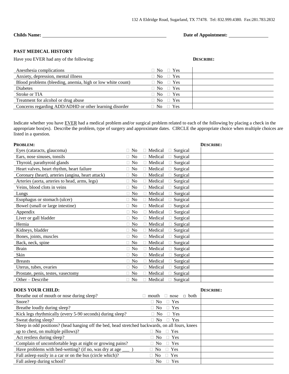**Childs Name:** <u>Date of Appointment:</u> 2014

## **PAST MEDICAL HISTORY**

Have you EVER had any of the following: **DESCRIBE: DESCRIBE:** 

| Anesthesia complications                                   | $\Box$ No $\Box$ Yes |  |
|------------------------------------------------------------|----------------------|--|
| Anxiety, depression, mental illness                        | $\Box$ No $\Box$ Yes |  |
| Blood problems (bleeding, anemia, high or low white count) | $\Box$ No $\Box$ Yes |  |
| <b>Diabetes</b>                                            | $\Box$ No $\Box$ Yes |  |
| Stroke or TIA                                              | $\Box$ No $\Box$ Yes |  |
| Treatment for alcohol or drug abuse                        | $\Box$ No $\Box$ Yes |  |
| Concerns regarding ADD/ADHD or other learning disorder     | $\Box$ No $\Box$ Yes |  |

Indicate whether you have EVER had a medical problem and/or surgical problem related to each of the following by placing a check in the appropriate box(es). Describe the problem, type of surgery and approximate dates. CIRCLE the appropriate choice when multiple choices are listed in a question.

|                                      | <b>DESCRIBE:</b> |
|--------------------------------------|------------------|
| Medical<br>Surgical                  |                  |
| Medical<br>Surgical                  |                  |
| Medical<br>Surgical                  |                  |
| Medical<br>Surgical                  |                  |
| Medical<br>Surgical                  |                  |
| Medical<br>Surgical                  |                  |
| Medical<br>Surgical<br>П             |                  |
| Medical<br>$\Box$ Surgical           |                  |
| Medical<br>Surgical<br>П.            |                  |
| Medical<br>Surgical                  |                  |
| Medical<br>$\Box$ Surgical<br>$\Box$ |                  |
| Medical<br>$\Box$ Surgical           |                  |
| □ Surgical<br>Medical<br>П           |                  |
| Medical<br>Surgical<br>П             |                  |
| $\Box$ Surgical<br>П<br>Medical      |                  |
| Medical<br>Surgical                  |                  |
| Medical<br>$\Box$ Surgical<br>П      |                  |
| Medical<br>$\Box$ Surgical           |                  |
| Medical<br>Surgical                  |                  |
| Medical<br>Surgical                  |                  |
| Medical<br>Surgical                  |                  |
| Medical<br>Surgical                  |                  |
|                                      | <b>DESCRIBE:</b> |
| $\Box$ both<br>mouth<br>nose<br>П    |                  |
| Yes<br>N <sub>o</sub>                |                  |
| Yes<br>$\Box$ No<br>$\Box$           |                  |
| Yes<br>$\Box$ No<br>П.               |                  |
| Yes<br>$\Box$ No                     |                  |
|                                      |                  |

| Sweat during sleep?                                                                              | $\Box$ No $\Box$ Yes |  |
|--------------------------------------------------------------------------------------------------|----------------------|--|
| Sleep in odd positions? (head hanging off the bed, head stretched backwards, on all fours, knees |                      |  |
| up to chest, on multiple pillows)?                                                               | $\Box$ No $\Box$ Yes |  |
| Act restless during sleep?                                                                       | $\Box$ No $\Box$ Yes |  |
| Complain of uncomfortable legs at night or growing pains?                                        | $\Box$ No $\Box$ Yes |  |
|                                                                                                  | $\Box$ No $\Box$ Yes |  |
| Fall as leep easily in a car or on the bus (circle which)?                                       | $\Box$ No $\Box$ Yes |  |
| Fall as leep during school?                                                                      | $\Box$ No $\Box$ Yes |  |
|                                                                                                  |                      |  |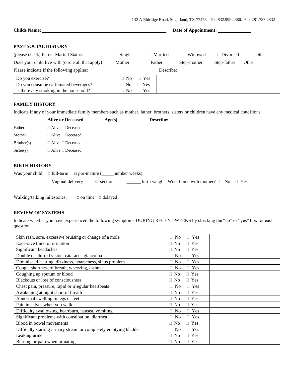| <b>Childs Name:</b>                               |                |                      |                | Date of Appointment: |                 |              |
|---------------------------------------------------|----------------|----------------------|----------------|----------------------|-----------------|--------------|
| <b>PAST SOCIAL HISTORY</b>                        |                |                      |                |                      |                 |              |
| (please check) Parent Marital Status:             | $\Box$ Single  |                      | $\Box$ Married | $\Box$ Widowed       | $\Box$ Divorced | $\Box$ Other |
| Does your child live with (circle all that apply) | Mother         |                      | Father         | Step-mother          | Step-father     | Other        |
| Please indicate if the following applies:         |                |                      | Describe:      |                      |                 |              |
| Do you exercise?                                  | N <sub>0</sub> | <b>Yes</b><br>$\Box$ |                |                      |                 |              |
| Do you consume caffeinated beverages?             | N <sub>o</sub> | Yes<br>П.            |                |                      |                 |              |
| Is there any smoking in the household?            | N <sub>0</sub> | <b>Yes</b>           |                |                      |                 |              |

# **FAMILY HISTORY**

Indicate if any of your immediate family members such as mother, father, brothers, sisters or children have any medical conditions.

|            | <b>Alive or Deceased</b>     | Age(s) | <b>Describe:</b> |
|------------|------------------------------|--------|------------------|
| Father     | $\Box$ Alive $\Box$ Deceased |        |                  |
| Mother     | $\Box$ Alive $\Box$ Deceased |        |                  |
| Brother(s) | $\Box$ Alive $\Box$ Deceased |        |                  |
| Sister(s)  | $\Box$ Alive $\Box$ Deceased |        |                  |
|            |                              |        |                  |

## **BIRTH HISTORY**

| $\Box$ Vaginal delivery $\Box$ C-section |  | <u> The Communication of the Communication of the Communication of the Communication of the Communication of the Communication of the Communication of the Communication of the Communication of the Communication of the Commun</u> | birth weight Went home with mother? $\Box$ No $\Box$ Yes |  |
|------------------------------------------|--|--------------------------------------------------------------------------------------------------------------------------------------------------------------------------------------------------------------------------------------|----------------------------------------------------------|--|

Walking/talking milestones: □ on time □ delayed

## **REVIEW OF SYSTEMS**

Indicate whether you have experienced the following symptoms DURING RECENT WEEKS by checking the "no" or "yes" box for each question.

| Skin rash, sore, excessive bruising or change of a mole           | $\Box$ Yes<br>$\Box$ No |  |
|-------------------------------------------------------------------|-------------------------|--|
| Excessive thirst or urination                                     | $\Box$ Yes<br>$\Box$ No |  |
| Significant headaches                                             | $\Box$ Yes<br>$\Box$ No |  |
| Double or blurred vision, cataracts, glaucoma                     | $\Box$ Yes<br>$\Box$ No |  |
| Diminished hearing, dizziness, hoarseness, sinus problem          | $\Box$ Yes<br>$\Box$ No |  |
| Cough, shortness of breath, wheezing, asthma                      | $\Box$ Yes<br>$\Box$ No |  |
| Coughing up sputum or blood                                       | $\Box$ Yes<br>$\Box$ No |  |
| Blackouts or loss of consciousness                                | $\Box$ No<br>$\Box$ Yes |  |
| Chest pain, pressure, rapid or irregular heartbeats               | $\Box$ Yes<br>$\Box$ No |  |
| Awakening at night short of breath                                | $\Box$ Yes<br>$\Box$ No |  |
| Abnormal swelling in legs or feet                                 | $\Box$ Yes<br>$\Box$ No |  |
| Pain in calves when you walk                                      | $\Box$ Yes<br>$\Box$ No |  |
| Difficulty swallowing, heartburn, nausea, vomiting                | $\Box$ Yes<br>$\Box$ No |  |
| Significant problems with constipation, diarrhea                  | $\Box$ Yes<br>$\Box$ No |  |
| Blood in bowel movements                                          | $\Box$ Yes<br>$\Box$ No |  |
| Difficulty starting urinary stream or completely emptying bladder | $\Box$ Yes<br>$\Box$ No |  |
| Leaking urine                                                     | $\Box$ Yes<br>$\Box$ No |  |
| Burning or pain when urinating                                    | $\Box$ Yes<br>$\Box$ No |  |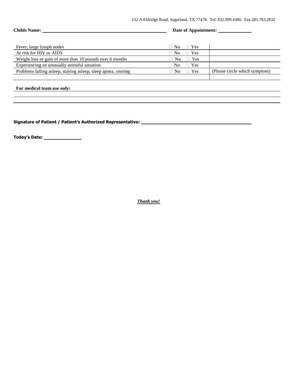## Childs Name: <u>Date of Appointment:</u> Date of Appointment:

| Fever, large lymph nodes                                      | $\Box$ Yes<br>∃ No   |                               |
|---------------------------------------------------------------|----------------------|-------------------------------|
| At risk for HIV or AIDS                                       | $\Box$ Yes<br>∃ No   |                               |
| Weight loss or gain of more than 10 pounds over 6 months      | $\Box$ No $\Box$ Yes |                               |
| Experiencing an unusually stressful situation                 | $\Box$ Yes<br>∃ No   |                               |
| Problems falling asleep, staying asleep, sleep apnea, snoring | $\Box$ Yes<br>∃ No   | (Please circle which symptom) |
|                                                               |                      |                               |

### **For medical team use only:**

**Signature of Patient / Patient's Authorized Representative:** 

**Today's Date:** 

*Thank you!*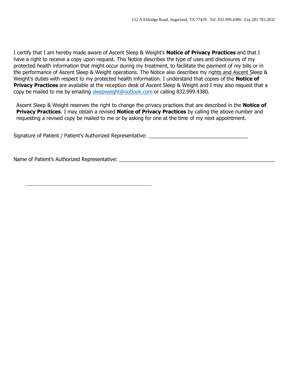I certify that I am hereby made aware of Ascent Sleep & Weight's **Notice of Privacy Practices** and that I have a right to receive a copy upon request. This Notice describes the type of uses and disclosures of my protected health information that might occur during my treatment, to facilitate the payment of my bills or in the performance of Ascent Sleep & Weight operations. The Notice also describes my rights and Ascent Sleep & Weight's duties with respect to my protected health information. I understand that copies of the **Notice of Privacy Practices** are available at the reception desk of Ascent Sleep & Weight and I may also request that a copy be mailed to me by emailing [sleepweight@outlook.com](mailto:sleepweight@outlook.com) or calling 832.999.4380.

Ascent Sleep & Weight reserves the right to change the privacy practices that are described in the **Notice of Privacy Practices**. I may obtain a revised **Notice of Privacy Practices** by calling the above number and requesting a revised copy be mailed to me or by asking for one at the time of my next appointment.

Signature of Patient / Patient's Authorized Representative: \_\_\_\_\_\_\_\_\_\_\_\_\_\_\_\_\_\_\_\_\_

Name of Patient's Authorized Representative: \_\_\_\_\_\_\_\_\_\_\_\_\_\_\_\_\_\_\_\_\_\_\_\_\_\_\_\_\_\_\_\_\_\_\_